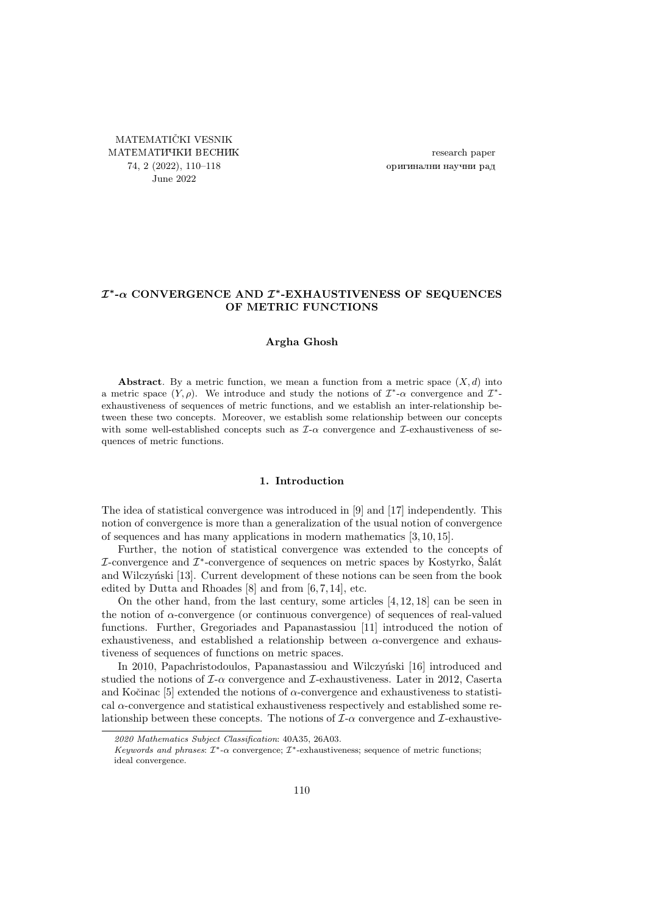<span id="page-0-0"></span>MATEMATIČKI VESNIK МАТЕМАТИЧКИ ВЕСНИК 74, 2 (2022), [110](#page-0-0)[–118](#page-8-0) June 2022

research paper оригинални научни рад

# $\mathcal{I}^*$ - $\alpha$  CONVERGENCE AND  $\mathcal{I}^*$ -EXHAUSTIVENESS OF SEQUENCES OF METRIC FUNCTIONS

## Argha Ghosh

Abstract. By a metric function, we mean a function from a metric space  $(X, d)$  into a metric space  $(Y, \rho)$ . We introduce and study the notions of  $\mathcal{I}^*$ - $\alpha$  convergence and  $\mathcal{I}^*$ exhaustiveness of sequences of metric functions, and we establish an inter-relationship between these two concepts. Moreover, we establish some relationship between our concepts with some well-established concepts such as  $\mathcal{I}-\alpha$  convergence and  $\mathcal{I}-\alpha$  exhaustiveness of sequences of metric functions.

### 1. Introduction

The idea of statistical convergence was introduced in [\[9\]](#page-7-0) and [\[17\]](#page-8-1) independently. This notion of convergence is more than a generalization of the usual notion of convergence of sequences and has many applications in modern mathematics [\[3,](#page-7-1) [10,](#page-7-2) [15\]](#page-8-2).

Further, the notion of statistical convergence was extended to the concepts of  $I$ -convergence and  $I^*$ -convergence of sequences on metric spaces by Kostyrko, Šalát and Wilczyński [\[13\]](#page-7-3). Current development of these notions can be seen from the book edited by Dutta and Rhoades [\[8\]](#page-7-4) and from [\[6,](#page-7-5) [7,](#page-7-6) [14\]](#page-8-3), etc.

On the other hand, from the last century, some articles [\[4,](#page-7-7) [12,](#page-7-8) [18\]](#page-8-4) can be seen in the notion of  $\alpha$ -convergence (or continuous convergence) of sequences of real-valued functions. Further, Gregoriades and Papanastassiou [\[11\]](#page-7-9) introduced the notion of exhaustiveness, and established a relationship between  $\alpha$ -convergence and exhaustiveness of sequences of functions on metric spaces.

In 2010, Papachristodoulos, Papanastassiou and Wilczyński [\[16\]](#page-8-5) introduced and studied the notions of  $\mathcal{I}\text{-}\alpha$  convergence and  $\mathcal{I}\text{-}$ exhaustiveness. Later in 2012, Caserta and Kočinac [\[5\]](#page-7-10) extended the notions of  $\alpha$ -convergence and exhaustiveness to statistical  $\alpha$ -convergence and statistical exhaustiveness respectively and established some relationship between these concepts. The notions of  $\mathcal{I}-\alpha$  convergence and  $\mathcal{I}-\alpha$  convergence

<sup>2020</sup> Mathematics Subject Classification: 40A35, 26A03.

Keywords and phrases:  $\mathcal{I}^*$ - $\alpha$  convergence;  $\mathcal{I}^*$ -exhaustiveness; sequence of metric functions; ideal convergence.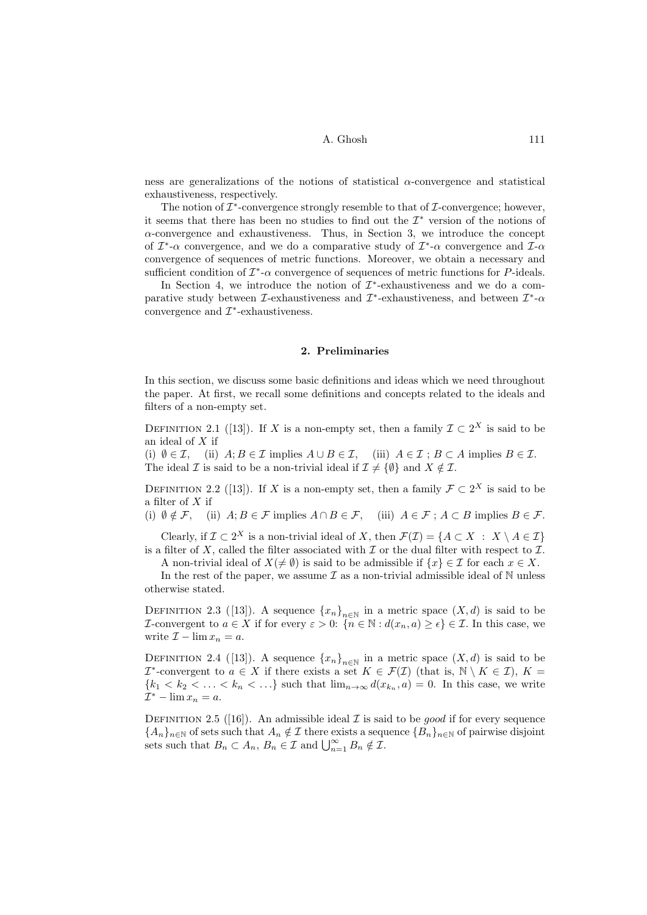ness are generalizations of the notions of statistical  $\alpha$ -convergence and statistical exhaustiveness, respectively.

The notion of  $\mathcal{I}^*$ -convergence strongly resemble to that of  $\mathcal{I}$ -convergence; however, it seems that there has been no studies to find out the  $\mathcal{I}^*$  version of the notions of  $\alpha$ -convergence and exhaustiveness. Thus, in Section [3,](#page-2-0) we introduce the concept of  $\mathcal{I}^*$ - $\alpha$  convergence, and we do a comparative study of  $\mathcal{I}^*$ - $\alpha$  convergence and  $\mathcal{I}$ - $\alpha$ convergence of sequences of metric functions. Moreover, we obtain a necessary and sufficient condition of  $\mathcal{I}^*\text{-}\alpha$  convergence of sequences of metric functions for P-ideals.

In Section [4,](#page-5-0) we introduce the notion of  $\mathcal{I}^*$ -exhaustiveness and we do a comparative study between  $\mathcal{I}$ -exhaustiveness and  $\mathcal{I}^*$ -exhaustiveness, and between  $\mathcal{I}^*$ - $\alpha$ convergence and  $\mathcal{I}^*$ -exhaustiveness.

### 2. Preliminaries

In this section, we discuss some basic definitions and ideas which we need throughout the paper. At first, we recall some definitions and concepts related to the ideals and filters of a non-empty set.

DEFINITION 2.1 ([\[13\]](#page-7-3)). If X is a non-empty set, then a family  $\mathcal{I} \subset 2^X$  is said to be an ideal of X if

(i)  $\emptyset \in \mathcal{I}$ , (ii)  $A; B \in \mathcal{I}$  implies  $A \cup B \in \mathcal{I}$ , (iii)  $A \in \mathcal{I}$ ;  $B \subset A$  implies  $B \in \mathcal{I}$ . The ideal  $\mathcal I$  is said to be a non-trivial ideal if  $\mathcal I \neq \{ \emptyset \}$  and  $X \notin \mathcal I$ .

DEFINITION 2.2 ([\[13\]](#page-7-3)). If X is a non-empty set, then a family  $\mathcal{F} \subset 2^X$  is said to be a filter of X if

(i)  $\emptyset \notin \mathcal{F}$ , (ii)  $A; B \in \mathcal{F}$  implies  $A \cap B \in \mathcal{F}$ , (iii)  $A \in \mathcal{F}$ ;  $A \subset B$  implies  $B \in \mathcal{F}$ .

Clearly, if  $\mathcal{I} \subset 2^X$  is a non-trivial ideal of X, then  $\mathcal{F}(\mathcal{I}) = \{A \subset X : X \setminus A \in \mathcal{I}\}\$ is a filter of X, called the filter associated with  $\mathcal I$  or the dual filter with respect to  $\mathcal I$ .

A non-trivial ideal of  $X(\neq \emptyset)$  is said to be admissible if  $\{x\} \in \mathcal{I}$  for each  $x \in X$ .

In the rest of the paper, we assume  $\mathcal I$  as a non-trivial admissible ideal of  $\mathbb N$  unless otherwise stated.

DEFINITION 2.3 ([\[13\]](#page-7-3)). A sequence  $\{x_n\}_{n\in\mathbb{N}}$  in a metric space  $(X,d)$  is said to be *I*-convergent to  $a \in X$  if for every  $\varepsilon > 0$ :  $\{n \in \mathbb{N} : d(x_n, a) \geq \epsilon\} \in \mathcal{I}$ . In this case, we write  $\mathcal{I} - \lim x_n = a$ .

DEFINITION 2.4 ([\[13\]](#page-7-3)). A sequence  $\{x_n\}_{n\in\mathbb{N}}$  in a metric space  $(X,d)$  is said to be  $\mathcal{I}^*$ -convergent to  $a \in X$  if there exists a set  $K \in \mathcal{F}(\mathcal{I})$  (that is,  $\mathbb{N} \setminus K \in \mathcal{I}$ ),  $K =$  ${k_1 < k_2 < \ldots < k_n < \ldots}$  such that  $\lim_{n\to\infty} d(x_{k_n}, a) = 0$ . In this case, we write  $\mathcal{I}^* - \lim x_n = a.$ 

DEFINITION 2.5 ([\[16\]](#page-8-5)). An admissible ideal  $\mathcal I$  is said to be good if for every sequence  ${A_n}_{n\in\mathbb{N}}$  of sets such that  $A_n \notin \mathcal{I}$  there exists a sequence  ${B_n}_{n\in\mathbb{N}}$  of pairwise disjoint sets such that  $B_n \subset A_n$ ,  $B_n \in \mathcal{I}$  and  $\bigcup_{n=1}^{\infty} B_n \notin \mathcal{I}$ .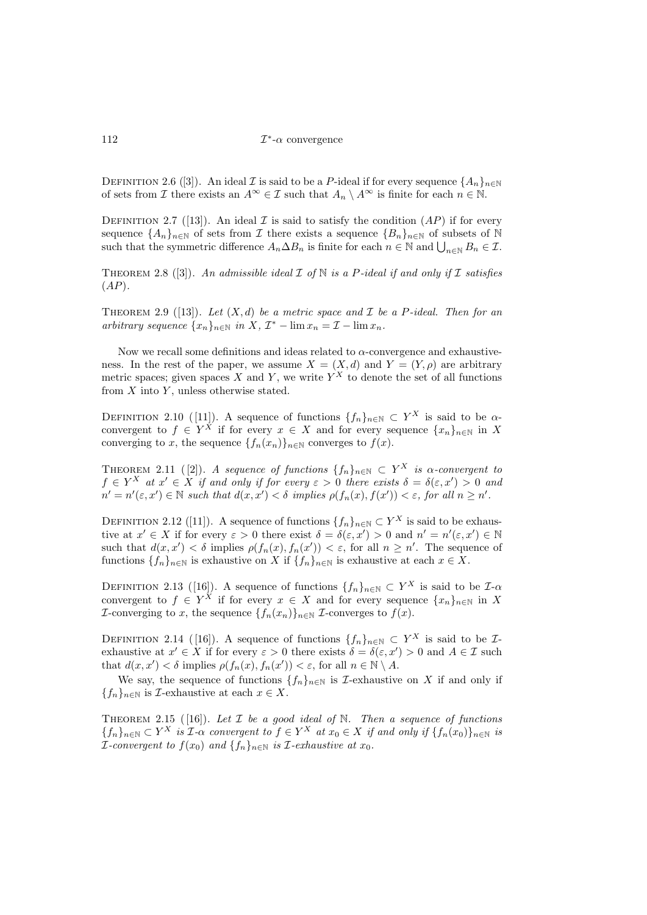DEFINITION 2.6 ([\[3\]](#page-7-1)). An ideal I is said to be a P-ideal if for every sequence  $\{A_n\}_{n\in\mathbb{N}}$ of sets from I there exists an  $A^{\infty} \in \mathcal{I}$  such that  $A_n \setminus A^{\infty}$  is finite for each  $n \in \mathbb{N}$ .

DEFINITION 2.7 ([\[13\]](#page-7-3)). An ideal I is said to satisfy the condition  $AP$ ) if for every sequence  $\{A_n\}_{n\in\mathbb{N}}$  of sets from  $\mathcal I$  there exists a sequence  $\{B_n\}_{n\in\mathbb{N}}$  of subsets of  $\mathbb N$ such that the symmetric difference  $A_n \Delta B_n$  is finite for each  $n \in \mathbb{N}$  and  $\bigcup_{n \in \mathbb{N}} B_n \in \mathcal{I}$ .

THEOREM 2.8 ([\[3\]](#page-7-1)). An admissible ideal  $\mathcal I$  of  $\mathbb N$  is a P-ideal if and only if  $\mathcal I$  satisfies  $(AP).$ 

THEOREM 2.9 ([\[13\]](#page-7-3)). Let  $(X, d)$  be a metric space and  $\mathcal I$  be a P-ideal. Then for an arbitrary sequence  $\{x_n\}_{n\in\mathbb{N}}$  in  $X, \mathcal{I}^* - \lim x_n = \mathcal{I} - \lim x_n$ .

Now we recall some definitions and ideas related to  $\alpha$ -convergence and exhaustiveness. In the rest of the paper, we assume  $X = (X, d)$  and  $Y = (Y, \rho)$  are arbitrary metric spaces; given spaces X and Y, we write  $Y^X$  to denote the set of all functions from  $X$  into  $Y$ , unless otherwise stated.

DEFINITION 2.10 ([\[11\]](#page-7-9)). A sequence of functions  $\{f_n\}_{n\in\mathbb{N}}\subset Y^X$  is said to be  $\alpha$ convergent to  $f \in Y^X$  if for every  $x \in X$  and for every sequence  $\{x_n\}_{n\in\mathbb{N}}$  in X converging to x, the sequence  $\{f_n(x_n)\}_{n\in\mathbb{N}}$  converges to  $f(x)$ .

<span id="page-2-1"></span>THEOREM 2.11 ([\[2\]](#page-7-11)). A sequence of functions  $\{f_n\}_{n\in\mathbb{N}} \subset Y^X$  is  $\alpha$ -convergent to  $f \in Y^X$  at  $x' \in X$  if and only if for every  $\varepsilon > 0$  there exists  $\delta = \delta(\varepsilon, x') > 0$  and  $n' = n'(\varepsilon, x') \in \mathbb{N}$  such that  $d(x, x') < \delta$  implies  $\rho(f_n(x), f(x')) < \varepsilon$ , for all  $n \geq n'$ .

DEFINITION 2.12 ([\[11\]](#page-7-9)). A sequence of functions  $\{f_n\}_{n\in\mathbb{N}}\subset Y^X$  is said to be exhaustive at  $x' \in X$  if for every  $\varepsilon > 0$  there exist  $\delta = \delta(\varepsilon, x') > 0$  and  $n' = n'(\varepsilon, x') \in \mathbb{N}$ such that  $d(x, x') < \delta$  implies  $\rho(f_n(x), f_n(x')) < \varepsilon$ , for all  $n \geq n'$ . The sequence of functions  $\{f_n\}_{n\in\mathbb{N}}$  is exhaustive on X if  $\{f_n\}_{n\in\mathbb{N}}$  is exhaustive at each  $x \in X$ .

DEFINITION 2.13 ([\[16\]](#page-8-5)). A sequence of functions  $\{f_n\}_{n\in\mathbb{N}}\subset Y^X$  is said to be  $\mathcal{I}\text{-}\alpha$ convergent to  $f \in Y^X$  if for every  $x \in X$  and for every sequence  $\{x_n\}_{n\in\mathbb{N}}$  in X *I*-converging to x, the sequence  $\{f_n(x_n)\}_{n\in\mathbb{N}}$  *I*-converges to  $f(x)$ .

DEFINITION 2.14 ([\[16\]](#page-8-5)). A sequence of functions  $\{f_n\}_{n\in\mathbb{N}}\subset Y^X$  is said to be  $\mathcal{I}$ exhaustive at  $x' \in X$  if for every  $\varepsilon > 0$  there exists  $\delta = \delta(\varepsilon, x') > 0$  and  $A \in \mathcal{I}$  such that  $d(x, x') < \delta$  implies  $\rho(f_n(x), f_n(x')) < \varepsilon$ , for all  $n \in \mathbb{N} \setminus A$ .

We say, the sequence of functions  $\{f_n\}_{n\in\mathbb{N}}$  is *I*-exhaustive on X if and only if  ${f_n}_{n\in\mathbb{N}}$  is *I*-exhaustive at each  $x \in X$ .

<span id="page-2-0"></span>THEOREM 2.15 ([\[16\]](#page-8-5)). Let  $\mathcal I$  be a good ideal of  $\mathbb N$ . Then a sequence of functions  ${f_n}_{n \in \mathbb{N}} \subset Y^X$  is  $\mathcal{I}\text{-}\alpha$  convergent to  $f \in Y^X$  at  $x_0 \in X$  if and only if  ${f_n}(x_0)_{n \in \mathbb{N}}$  is *I*-convergent to  $f(x_0)$  and  $\{f_n\}_{n\in\mathbb{N}}$  is *I*-exhaustive at  $x_0$ .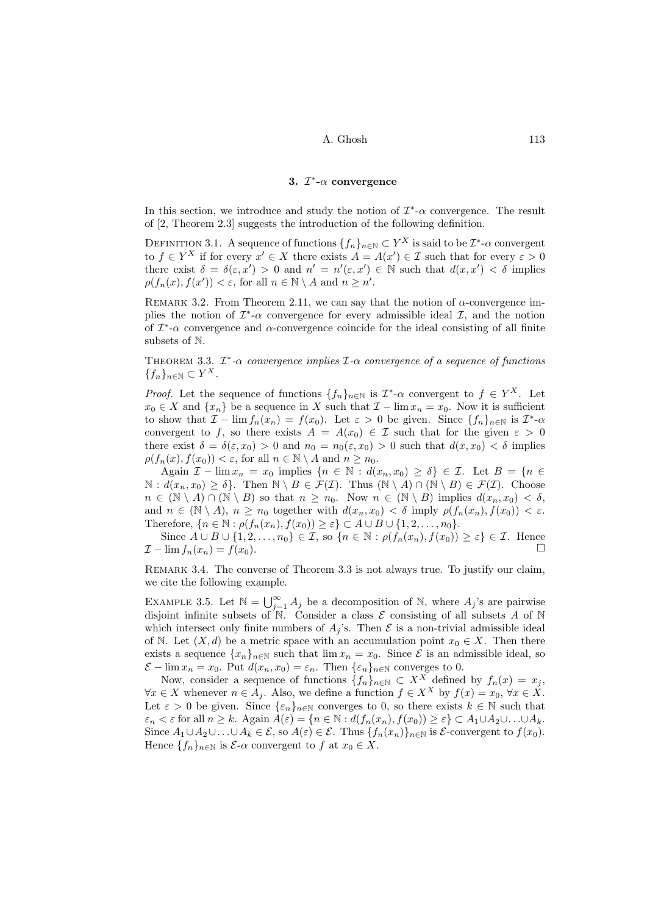### 3.  $\mathcal{I}^*$ - $\alpha$  convergence

In this section, we introduce and study the notion of  $\mathcal{I}^*\text{-}\alpha$  convergence. The result of [\[2,](#page-7-11) Theorem 2.3] suggests the introduction of the following definition.

DEFINITION 3.1. A sequence of functions  $\{f_n\}_{n\in\mathbb{N}}\subset Y^X$  is said to be  $\mathcal{I}^*\text{-}\alpha$  convergent to  $f \in Y^X$  if for every  $x' \in X$  there exists  $A = A(x') \in \mathcal{I}$  such that for every  $\varepsilon > 0$ there exist  $\delta = \delta(\varepsilon, x') > 0$  and  $n' = n'(\varepsilon, x') \in \mathbb{N}$  such that  $d(x, x') < \delta$  implies  $\rho(f_n(x), f(x')) < \varepsilon$ , for all  $n \in \mathbb{N} \setminus A$  and  $n \geq n'$ .

REMARK 3.2. From Theorem [2.11,](#page-2-1) we can say that the notion of  $\alpha$ -convergence implies the notion of  $\mathcal{I}^*$ - $\alpha$  convergence for every admissible ideal  $\mathcal{I}$ , and the notion of  $\mathcal{I}^*$ - $\alpha$  convergence and  $\alpha$ -convergence coincide for the ideal consisting of all finite subsets of N.

<span id="page-3-0"></span>THEOREM 3.3.  $\mathcal{I}^*\text{-}\alpha$  convergence implies  $\mathcal{I}\text{-}\alpha$  convergence of a sequence of functions  ${f_n}_{n\in\mathbb{N}}\subset Y^X$ .

*Proof.* Let the sequence of functions  $\{f_n\}_{n\in\mathbb{N}}$  is  $\mathcal{I}^*\text{-}\alpha$  convergent to  $f \in Y^X$ . Let  $x_0 \in X$  and  $\{x_n\}$  be a sequence in X such that  $\mathcal{I} - \lim x_n = x_0$ . Now it is sufficient to show that  $\mathcal{I} - \lim f_n(x_n) = f(x_0)$ . Let  $\varepsilon > 0$  be given. Since  $\{f_n\}_{n \in \mathbb{N}}$  is  $\mathcal{I}^*$ - $\alpha$ convergent to f, so there exists  $A = A(x_0) \in \mathcal{I}$  such that for the given  $\varepsilon > 0$ there exist  $\delta = \delta(\varepsilon, x_0) > 0$  and  $n_0 = n_0(\varepsilon, x_0) > 0$  such that  $d(x, x_0) < \delta$  implies  $\rho(f_n(x), f(x_0)) < \varepsilon$ , for all  $n \in \mathbb{N} \setminus A$  and  $n \ge n_0$ .

Again  $\mathcal{I} - \lim x_n = x_0$  implies  $\{n \in \mathbb{N} : d(x_n, x_0) \geq \delta\} \in \mathcal{I}$ . Let  $B = \{n \in \mathcal{I}\}$  $\mathbb{N}: d(x_n, x_0) \geq \delta$ . Then  $\mathbb{N} \setminus B \in \mathcal{F}(\mathcal{I})$ . Thus  $(\mathbb{N} \setminus A) \cap (\mathbb{N} \setminus B) \in \mathcal{F}(\mathcal{I})$ . Choose  $n \in (\mathbb{N} \setminus A) \cap (\mathbb{N} \setminus B)$  so that  $n \geq n_0$ . Now  $n \in (\mathbb{N} \setminus B)$  implies  $d(x_n, x_0) < \delta$ , and  $n \in (\mathbb{N} \setminus A), n \geq n_0$  together with  $d(x_n, x_0) < \delta$  imply  $\rho(f_n(x_n), f(x_0)) < \varepsilon$ . Therefore,  $\{n \in \mathbb{N} : \rho(f_n(x_n), f(x_0)) \geq \varepsilon\} \subset A \cup B \cup \{1, 2, \ldots, n_0\}.$ 

Since  $A \cup B \cup \{1, 2, \ldots, n_0\} \in \mathcal{I}$ , so  $\{n \in \mathbb{N} : \rho(f_n(x_n), f(x_0)) \geq \varepsilon\} \in \mathcal{I}$ . Hence  $\mathcal{I} - \lim f_n(x_n) = f(x_0).$ 

Remark 3.4. The converse of Theorem [3.3](#page-3-0) is not always true. To justify our claim, we cite the following example.

<span id="page-3-1"></span>EXAMPLE 3.5. Let  $\mathbb{N} = \bigcup_{j=1}^{\infty} A_j$  be a decomposition of  $\mathbb{N}$ , where  $A_j$ 's are pairwise disjoint infinite subsets of  $\overline{N}$ . Consider a class  $\mathcal E$  consisting of all subsets A of  $\overline{N}$ which intersect only finite numbers of  $A_j$ 's. Then  $\mathcal E$  is a non-trivial admissible ideal of N. Let  $(X, d)$  be a metric space with an accumulation point  $x_0 \in X$ . Then there exists a sequence  $\{x_n\}_{n\in\mathbb{N}}$  such that  $\lim x_n = x_0$ . Since  $\mathcal E$  is an admissible ideal, so  $\mathcal{E} - \lim x_n = x_0$ . Put  $d(x_n, x_0) = \varepsilon_n$ . Then  $\{\varepsilon_n\}_{n \in \mathbb{N}}$  converges to 0.

Now, consider a sequence of functions  $\{f_n\}_{n\in\mathbb{N}}\subset X^X$  defined by  $f_n(x) = x_j$ ,  $\forall x \in X$  whenever  $n \in A_j$ . Also, we define a function  $f \in X^X$  by  $f(x) = x_0, \forall x \in X$ . Let  $\varepsilon > 0$  be given. Since  $\{\varepsilon_n\}_{n\in\mathbb{N}}$  converges to 0, so there exists  $k \in \mathbb{N}$  such that  $\varepsilon_n < \varepsilon$  for all  $n \geq k$ . Again  $A(\varepsilon) = \{n \in \mathbb{N} : d(f_n(x_n), f(x_0)) \geq \varepsilon\} \subset A_1 \cup A_2 \cup \ldots \cup A_k$ . Since  $A_1 \cup A_2 \cup \ldots \cup A_k \in \mathcal{E}$ , so  $A(\varepsilon) \in \mathcal{E}$ . Thus  $\{f_n(x_n)\}_{n \in \mathbb{N}}$  is  $\mathcal{E}$ -convergent to  $f(x_0)$ . Hence  $\{f_n\}_{n\in\mathbb{N}}$  is  $\mathcal{E}\text{-}\alpha$  convergent to f at  $x_0 \in X$ .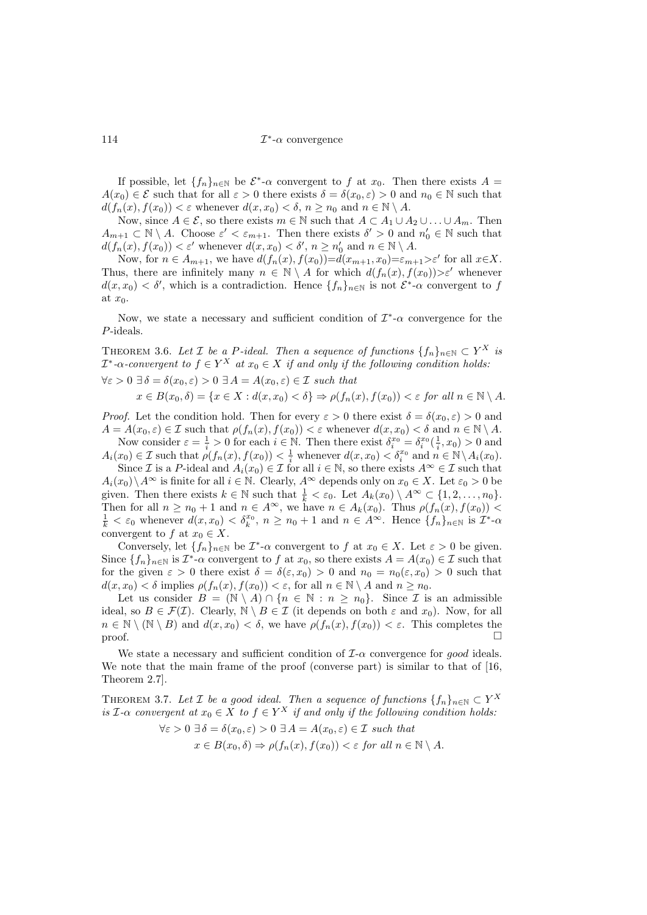If possible, let  $\{f_n\}_{n\in\mathbb{N}}$  be  $\mathcal{E}^*$ - $\alpha$  convergent to f at  $x_0$ . Then there exists  $A =$  $A(x_0) \in \mathcal{E}$  such that for all  $\varepsilon > 0$  there exists  $\delta = \delta(x_0, \varepsilon) > 0$  and  $n_0 \in \mathbb{N}$  such that  $d(f_n(x), f(x_0)) < \varepsilon$  whenever  $d(x, x_0) < \delta, n \geq n_0$  and  $n \in \mathbb{N} \setminus A$ .

Now, since  $A \in \mathcal{E}$ , so there exists  $m \in \mathbb{N}$  such that  $A \subset A_1 \cup A_2 \cup \ldots \cup A_m$ . Then  $A_{m+1} \subset \mathbb{N} \setminus A$ . Choose  $\varepsilon' < \varepsilon_{m+1}$ . Then there exists  $\delta' > 0$  and  $n'_0 \in \mathbb{N}$  such that  $d(f_n(x), f(x_0)) < \varepsilon'$  whenever  $d(x, x_0) < \delta', n \ge n'_0$  and  $n \in \mathbb{N} \setminus A$ .

Now, for  $n \in A_{m+1}$ , we have  $d(f_n(x), f(x_0)) = d(x_{m+1}, x_0) = \varepsilon_{m+1} > \varepsilon'$  for all  $x \in X$ . Thus, there are infinitely many  $n \in \mathbb{N} \setminus A$  for which  $d(f_n(x), f(x_0)) > \varepsilon'$  whenever  $d(x, x_0) < \delta'$ , which is a contradiction. Hence  $\{f_n\}_{n\in\mathbb{N}}$  is not  $\mathcal{E}^*$ - $\alpha$  convergent to f at  $x_0$ .

Now, we state a necessary and sufficient condition of  $\mathcal{I}^*\text{-}\alpha$  convergence for the P-ideals.

THEOREM 3.6. Let  $\mathcal I$  be a P-ideal. Then a sequence of functions  $\{f_n\}_{n\in\mathbb N}\subset Y^X$  is  $\mathcal{I}^*$ - $\alpha$ -convergent to  $f \in Y^X$  at  $x_0 \in X$  if and only if the following condition holds.

 $\forall \varepsilon > 0 \; \exists \, \delta = \delta(x_0, \varepsilon) > 0 \; \exists A = A(x_0, \varepsilon) \in \mathcal{I} \; such \; that$ 

$$
x \in B(x_0, \delta) = \{x \in X : d(x, x_0) < \delta\} \Rightarrow \rho(f_n(x), f(x_0)) < \varepsilon \text{ for all } n \in \mathbb{N} \setminus A.
$$

*Proof.* Let the condition hold. Then for every  $\varepsilon > 0$  there exist  $\delta = \delta(x_0, \varepsilon) > 0$  and  $A = A(x_0, \varepsilon) \in \mathcal{I}$  such that  $\rho(f_n(x), f(x_0)) < \varepsilon$  whenever  $d(x, x_0) < \delta$  and  $n \in \mathbb{N} \setminus A$ .

Now consider  $\varepsilon = \frac{1}{i} > 0$  for each  $i \in \mathbb{N}$ . Then there exist  $\delta_i^{x_0} = \delta_i^{x_0}(\frac{1}{i}, x_0) > 0$  and  $A_i(x_0) \in \mathcal{I}$  such that  $\rho(f_n(x), f(x_0)) < \frac{1}{i}$  whenever  $d(x, x_0) < \delta_i^{x_0}$  and  $n \in \mathbb{N} \setminus A_i(x_0)$ .

Since I is a P-ideal and  $A_i(x_0) \in \mathcal{I}$  for all  $i \in \mathbb{N}$ , so there exists  $A^\infty \in \mathcal{I}$  such that  $A_i(x_0)\setminus A^\infty$  is finite for all  $i\in\mathbb{N}$ . Clearly,  $A^\infty$  depends only on  $x_0\in X$ . Let  $\varepsilon_0>0$  be given. Then there exists  $k \in \mathbb{N}$  such that  $\frac{1}{k} < \varepsilon_0$ . Let  $A_k(x_0) \setminus A^\infty \subset \{1, 2, ..., n_0\}$ . Then for all  $n \ge n_0 + 1$  and  $n \in A^{\infty}$ , we have  $n \in A_k(x_0)$ . Thus  $\rho(f_n(x), f(x_0))$  $\frac{1}{k} < \varepsilon_0$  whenever  $d(x, x_0) < \delta_k^{x_0}, n \geq n_0 + 1$  and  $n \in A^{\infty}$ . Hence  $\{f_n\}_{n \in \mathbb{N}}$  is  $\mathcal{I}^*$ - $\alpha$ convergent to f at  $x_0 \in X$ .

Conversely, let  $\{f_n\}_{n\in\mathbb{N}}$  be  $\mathcal{I}^*$ - $\alpha$  convergent to f at  $x_0 \in X$ . Let  $\varepsilon > 0$  be given. Since  $\{f_n\}_{n\in\mathbb{N}}$  is  $\mathcal{I}^*\text{-}\alpha$  convergent to f at  $x_0$ , so there exists  $A = A(x_0) \in \mathcal{I}$  such that for the given  $\varepsilon > 0$  there exist  $\delta = \delta(\varepsilon, x_0) > 0$  and  $n_0 = n_0(\varepsilon, x_0) > 0$  such that  $d(x, x_0) < \delta$  implies  $\rho(f_n(x), f(x_0)) < \varepsilon$ , for all  $n \in \mathbb{N} \setminus A$  and  $n \ge n_0$ .

Let us consider  $B = (\mathbb{N} \setminus A) \cap \{n \in \mathbb{N} : n \geq n_0\}$ . Since *I* is an admissible ideal, so  $B \in \mathcal{F}(\mathcal{I})$ . Clearly,  $\mathbb{N} \setminus B \in \mathcal{I}$  (it depends on both  $\varepsilon$  and  $x_0$ ). Now, for all  $n \in \mathbb{N} \setminus (\mathbb{N} \setminus B)$  and  $d(x, x_0) < \delta$ , we have  $\rho(f_n(x), f(x_0)) < \varepsilon$ . This completes the proof.  $\Box$ 

We state a necessary and sufficient condition of  $I-\alpha$  convergence for good ideals. We note that the main frame of the proof (converse part) is similar to that of [\[16,](#page-8-5) Theorem 2.7].

THEOREM 3.7. Let  $\mathcal I$  be a good ideal. Then a sequence of functions  $\{f_n\}_{n\in\mathbb N}\subset Y^X$ is  $\mathcal{I}\text{-}\alpha$  convergent at  $x_0 \in X$  to  $f \in Y^X$  if and only if the following condition holds:

$$
\forall \varepsilon > 0 \ \exists \delta = \delta(x_0, \varepsilon) > 0 \ \exists A = A(x_0, \varepsilon) \in \mathcal{I} \ \text{such that}
$$

$$
x \in B(x_0, \delta) \Rightarrow \rho(f_n(x), f(x_0)) < \varepsilon \ \text{for all } n \in \mathbb{N} \setminus A.
$$

 $114$   $\qquad \qquad \mathcal{I}$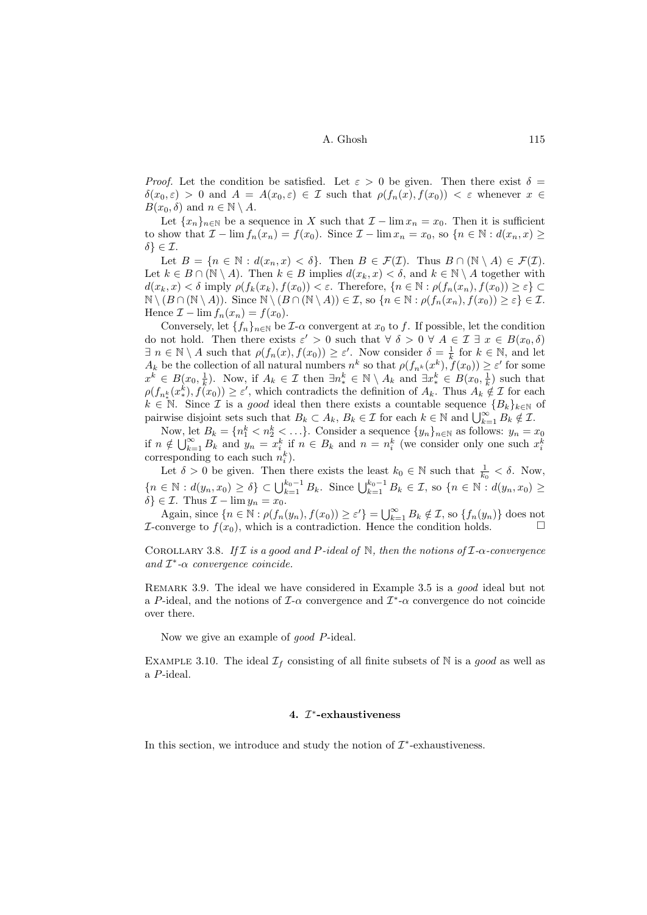*Proof.* Let the condition be satisfied. Let  $\varepsilon > 0$  be given. Then there exist  $\delta =$  $\delta(x_0, \varepsilon) > 0$  and  $A = A(x_0, \varepsilon) \in \mathcal{I}$  such that  $\rho(f_n(x), f(x_0)) < \varepsilon$  whenever  $x \in$  $B(x_0, \delta)$  and  $n \in \mathbb{N} \setminus A$ .

Let  ${x_n}_{n\in\mathbb{N}}$  be a sequence in X such that  $\mathcal{I} - \lim x_n = x_0$ . Then it is sufficient to show that  $\mathcal{I} - \lim f_n(x_n) = f(x_0)$ . Since  $\mathcal{I} - \lim x_n = x_0$ , so  $\{n \in \mathbb{N} : d(x_n, x) \geq \emptyset\}$  $\delta \} \in \mathcal{I}.$ 

Let  $B = \{n \in \mathbb{N} : d(x_n, x) < \delta\}$ . Then  $B \in \mathcal{F}(\mathcal{I})$ . Thus  $B \cap (\mathbb{N} \setminus A) \in \mathcal{F}(\mathcal{I})$ . Let  $k \in B \cap (\mathbb{N} \setminus A)$ . Then  $k \in B$  implies  $d(x_k, x) < \delta$ , and  $k \in \mathbb{N} \setminus A$  together with  $d(x_k, x) < \delta$  imply  $\rho(f_k(x_k), f(x_0)) < \varepsilon$ . Therefore,  $\{n \in \mathbb{N} : \rho(f_n(x_n), f(x_0)) \geq \varepsilon\}$  $\mathbb{N} \setminus (B \cap (\mathbb{N} \setminus A)).$  Since  $\mathbb{N} \setminus (B \cap (\mathbb{N} \setminus A)) \in \mathcal{I}$ , so  $\{n \in \mathbb{N} : \rho(f_n(x_n), f(x_0)) \geq \varepsilon\} \in \mathcal{I}$ . Hence  $\mathcal{I} - \lim f_n(x_n) = f(x_0)$ .

Conversely, let  $\{f_n\}_{n\in\mathbb{N}}$  be  $\mathcal{I}\text{-}\alpha$  convergent at  $x_0$  to f. If possible, let the condition do not hold. Then there exists  $\varepsilon' > 0$  such that  $\forall \delta > 0 \forall A \in \mathcal{I} \exists x \in B(x_0, \delta)$  $\exists n \in \mathbb{N} \setminus A$  such that  $\rho(f_n(x), f(x_0)) \geq \varepsilon'$ . Now consider  $\delta = \frac{1}{k}$  for  $k \in \mathbb{N}$ , and let  $A_k$  be the collection of all natural numbers  $n^k$  so that  $\rho(f_{n^k}(x^k), \tilde{f}(x_0)) \geq \varepsilon'$  for some  $x^k \in B(x_0, \frac{1}{k})$ . Now, if  $A_k \in \mathcal{I}$  then  $\exists n_*^k \in \mathbb{N} \setminus A_k$  and  $\exists x_*^k \in B(x_0, \frac{1}{k})$  such that  $\rho(f_{n^k_{*}}(x^k_{*}), f(x_0)) \geq \varepsilon'$ , which contradicts the definition of  $A_k$ . Thus  $A_k \notin \mathcal{I}$  for each  $k \in \mathbb{N}$ . Since *I* is a good ideal then there exists a countable sequence  ${B_k}_{k \in \mathbb{N}}$  of pairwise disjoint sets such that  $B_k \subset A_k$ ,  $B_k \in \mathcal{I}$  for each  $k \in \mathbb{N}$  and  $\bigcup_{k=1}^{\infty} B_k \notin \mathcal{I}$ .

Now, let  $B_k = \{n_1^k < n_2^k < \ldots\}$ . Consider a sequence  $\{y_n\}_{n \in \mathbb{N}}$  as follows:  $y_n = x_0$ if  $n \notin \bigcup_{k=1}^{\infty} B_k$  and  $y_n = x_i^k$  if  $n \in B_k$  and  $n = n_i^k$  (we consider only one such  $x_i^k$ corresponding to each such  $n_i^k$ .

Let  $\delta > 0$  be given. Then there exists the least  $k_0 \in \mathbb{N}$  such that  $\frac{1}{k_0} < \delta$ . Now,  ${n \in \mathbb{N} : d(y_n, x_0) \ge \delta} \subset \bigcup_{k=1}^{k_0-1} B_k$ . Since  $\bigcup_{k=1}^{k_0-1} B_k \in \mathcal{I}$ , so  ${n \in \mathbb{N} : d(y_n, x_0) \ge \delta}$  $\delta$ }  $\in \mathcal{I}$ . Thus  $\mathcal{I} - \lim y_n = x_0$ .

Again, since  $\{n \in \mathbb{N} : \rho(f_n(y_n), f(x_0)) \ge \varepsilon'\} = \bigcup_{k=1}^{\infty} B_k \notin \mathcal{I}$ , so  $\{f_n(y_n)\}$  does not *I*-converge to  $f(x_0)$ , which is a contradiction. Hence the condition holds.  $\Box$ 

COROLLARY 3.8. If I is a good and P-ideal of N, then the notions of  $\mathcal{I}-\alpha$ -convergence and  $\mathcal{I}^*$ - $\alpha$  convergence coincide.

Remark 3.9. The ideal we have considered in Example [3.5](#page-3-1) is a good ideal but not a P-ideal, and the notions of  $\mathcal{I}\text{-}\alpha$  convergence and  $\mathcal{I}^*\text{-}\alpha$  convergence do not coincide over there.

Now we give an example of good P-ideal.

<span id="page-5-0"></span>EXAMPLE 3.10. The ideal  $\mathcal{I}_f$  consisting of all finite subsets of N is a good as well as a P-ideal.

## 4.  $I^*$ -exhaustiveness

In this section, we introduce and study the notion of  $\mathcal{I}^*$ -exhaustiveness.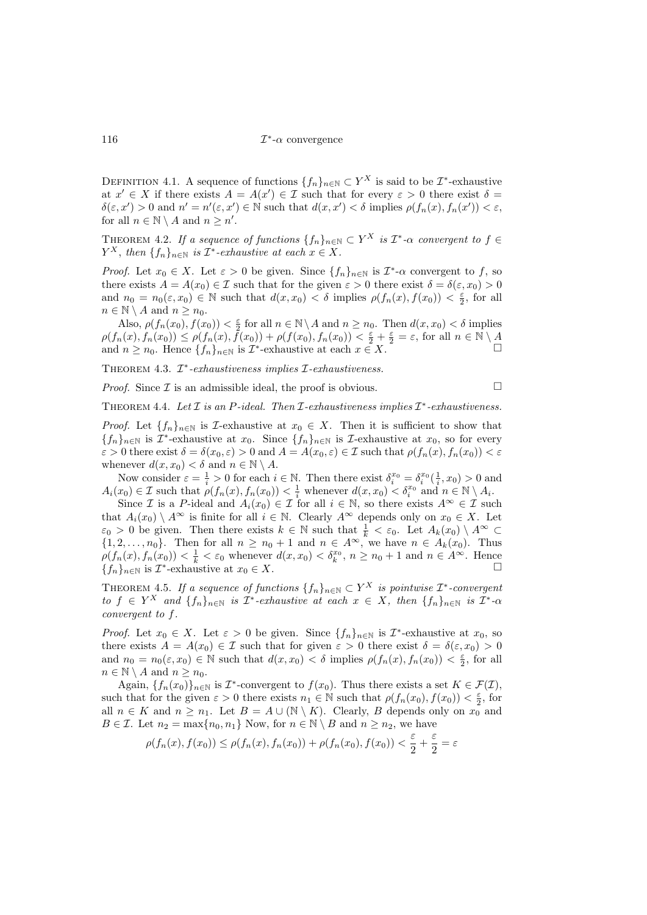DEFINITION 4.1. A sequence of functions  $\{f_n\}_{n\in\mathbb{N}}\subset Y^X$  is said to be  $\mathcal{I}^*$ -exhaustive at  $x' \in X$  if there exists  $A = A(x') \in \mathcal{I}$  such that for every  $\varepsilon > 0$  there exist  $\delta =$  $\delta(\varepsilon, x') > 0$  and  $n' = n'(\varepsilon, x') \in \mathbb{N}$  such that  $d(x, x') < \delta$  implies  $\rho(f_n(x), f_n(x')) < \varepsilon$ , for all  $n \in \mathbb{N} \setminus A$  and  $n \geq n'$ .

THEOREM 4.2. If a sequence of functions  $\{f_n\}_{n\in\mathbb{N}} \subset Y^X$  is  $\mathcal{I}^*\text{-}\alpha$  convergent to  $f \in$  $Y^X$ , then  $\{f_n\}_{n\in\mathbb{N}}$  is  $\mathcal{I}^*$ -exhaustive at each  $x \in X$ .

*Proof.* Let  $x_0 \in X$ . Let  $\varepsilon > 0$  be given. Since  $\{f_n\}_{n \in \mathbb{N}}$  is  $\mathcal{I}^*$ - $\alpha$  convergent to f, so there exists  $A = A(x_0) \in \mathcal{I}$  such that for the given  $\varepsilon > 0$  there exist  $\delta = \delta(\varepsilon, x_0) > 0$ and  $n_0 = n_0(\varepsilon, x_0) \in \mathbb{N}$  such that  $d(x, x_0) < \delta$  implies  $\rho(f_n(x), f(x_0)) < \frac{\varepsilon}{2}$ , for all  $n \in \mathbb{N} \setminus A$  and  $n \geq n_0$ .

Also,  $\rho(f_n(x_0), f(x_0)) < \frac{\varepsilon}{2}$  for all  $n \in \mathbb{N} \setminus A$  and  $n \ge n_0$ . Then  $d(x, x_0) < \delta$  implies  $\rho(f_n(x), f_n(x_0)) \leq \rho(f_n(x), \tilde{f}(x_0)) + \rho(f(x_0), f_n(x_0)) < \frac{\varepsilon}{2} + \frac{\varepsilon}{2} = \varepsilon$ , for all  $n \in \mathbb{N} \setminus \mathcal{A}$ and  $n \ge n_0$ . Hence  $\{f_n\}_{n \in \mathbb{N}}$  is  $\mathcal{I}^*$ -exhaustive at each  $x \in X$ .  $\Box$ 

THEOREM 4.3.  $\mathcal{I}^*$ -exhaustiveness implies  $\mathcal{I}$ -exhaustiveness.

*Proof.* Since  $\mathcal I$  is an admissible ideal, the proof is obvious.  $\Box$ 

THEOREM 4.4. Let  $\mathcal I$  is an P-ideal. Then  $\mathcal I$ -exhaustiveness implies  $\mathcal I^*$ -exhaustiveness.

*Proof.* Let  $\{f_n\}_{n\in\mathbb{N}}$  is *I*-exhaustive at  $x_0 \in X$ . Then it is sufficient to show that  ${f_n}_{n\in\mathbb{N}}$  is  $\mathcal{I}^*$ -exhaustive at  $x_0$ . Since  ${f_n}_{n\in\mathbb{N}}$  is  $\mathcal{I}$ -exhaustive at  $x_0$ , so for every  $\varepsilon > 0$  there exist  $\delta = \delta(x_0, \varepsilon) > 0$  and  $A = A(x_0, \varepsilon) \in \mathcal{I}$  such that  $\rho(f_n(x), f_n(x_0)) < \varepsilon$ whenever  $d(x, x_0) < \delta$  and  $n \in \mathbb{N} \setminus A$ .

Now consider  $\varepsilon = \frac{1}{i} > 0$  for each  $i \in \mathbb{N}$ . Then there exist  $\delta_i^{x_0} = \delta_i^{x_0}(\frac{1}{i}, x_0) > 0$  and  $A_i(x_0) \in \mathcal{I}$  such that  $\rho(f_n(x), f_n(x_0)) < \frac{1}{i}$  whenever  $d(x, x_0) < \delta_i^{x_0}$  and  $n \in \mathbb{N} \setminus A_i$ .

Since *I* is a P-ideal and  $A_i(x_0) \in \mathcal{I}$  for all  $i \in \mathbb{N}$ , so there exists  $A^{\infty} \in \mathcal{I}$  such that  $A_i(x_0) \setminus A^\infty$  is finite for all  $i \in \mathbb{N}$ . Clearly  $A^\infty$  depends only on  $x_0 \in X$ . Let  $\varepsilon_0 > 0$  be given. Then there exists  $k \in \mathbb{N}$  such that  $\frac{1}{k} < \varepsilon_0$ . Let  $A_k(x_0) \setminus A^\infty \subset$  $\{1, 2, \ldots, n_0\}$ . Then for all  $n \geq n_0 + 1$  and  $n \in A^{\infty}$ , we have  $n \in A_k(x_0)$ . Thus  $\rho(f_n(x), f_n(x_0)) < \frac{1}{k} < \varepsilon_0$  whenever  $d(x, x_0) < \delta_k^{x_0}, n \ge n_0 + 1$  and  $n \in A^{\infty}$ . Hence  ${f_n}_{n\in\mathbb{N}}$  is  $\mathcal{I}^*$ -exhaustive at  $x_0 \in X$ .

THEOREM 4.5. If a sequence of functions  $\{f_n\}_{n\in\mathbb{N}}\subset Y^X$  is pointwise  $\mathcal{I}^*$ -convergent to  $f \in Y^X$  and  $\{f_n\}_{n\in\mathbb{N}}$  is  $\mathcal{I}^*$ -exhaustive at each  $x \in X$ , then  $\{f_n\}_{n\in\mathbb{N}}$  is  $\mathcal{I}^*$ - $\alpha$ convergent to f.

*Proof.* Let  $x_0 \in X$ . Let  $\varepsilon > 0$  be given. Since  $\{f_n\}_{n \in \mathbb{N}}$  is  $\mathcal{I}^*$ -exhaustive at  $x_0$ , so there exists  $A = A(x_0) \in \mathcal{I}$  such that for given  $\varepsilon > 0$  there exist  $\delta = \delta(\varepsilon, x_0) > 0$ and  $n_0 = n_0(\varepsilon, x_0) \in \mathbb{N}$  such that  $d(x, x_0) < \delta$  implies  $\rho(f_n(x), f_n(x_0)) < \frac{\varepsilon}{2}$ , for all  $n \in \mathbb{N} \setminus A$  and  $n \geq n_0$ .

Again,  $\{f_n(x_0)\}_{n\in\mathbb{N}}$  is  $\mathcal{I}^*$ -convergent to  $f(x_0)$ . Thus there exists a set  $K \in \mathcal{F}(\mathcal{I})$ , such that for the given  $\varepsilon > 0$  there exists  $n_1 \in \mathbb{N}$  such that  $\rho(f_n(x_0), f(x_0)) < \frac{\varepsilon}{2}$ , for all  $n \in K$  and  $n \geq n_1$ . Let  $B = A \cup (\mathbb{N} \setminus K)$ . Clearly, B depends only on  $x_0$  and  $B \in \mathcal{I}$ . Let  $n_2 = \max\{n_0, n_1\}$  Now, for  $n \in \mathbb{N} \setminus B$  and  $n \ge n_2$ , we have

$$
\rho(f_n(x), f(x_0)) \le \rho(f_n(x), f_n(x_0)) + \rho(f_n(x_0), f(x_0)) < \frac{\varepsilon}{2} + \frac{\varepsilon}{2} = \varepsilon
$$

 $116$   $\qquad \qquad \mathcal{I}% _{\text{inter}}^{(1)}=\mathcal{I}_{\text{inter}}^{(1)}$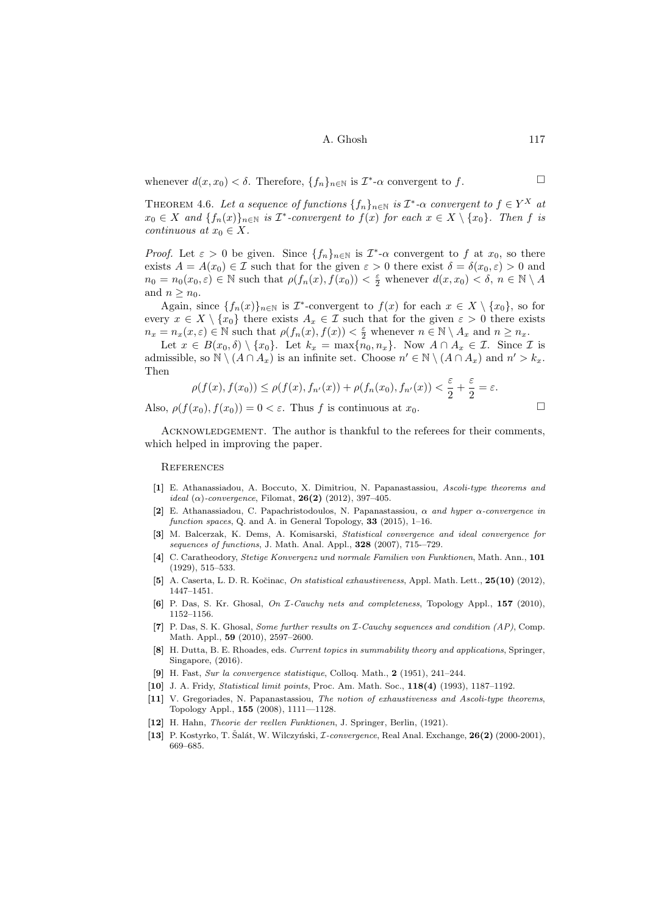whenever  $d(x, x_0) < \delta$ . Therefore,  $\{f_n\}_{n \in \mathbb{N}}$  is  $\mathcal{I}^*$ - $\alpha$  convergent to f.

THEOREM 4.6. Let a sequence of functions  $\{f_n\}_{n\in\mathbb{N}}$  is  $\mathcal{I}^*\text{-}\alpha$  convergent to  $f \in Y^X$  at  $x_0 \in X$  and  $\{f_n(x)\}_{n \in \mathbb{N}}$  is  $\mathcal{I}^*$ -convergent to  $f(x)$  for each  $x \in X \setminus \{x_0\}$ . Then f is continuous at  $x_0 \in X$ .

*Proof.* Let  $\varepsilon > 0$  be given. Since  $\{f_n\}_{n \in \mathbb{N}}$  is  $\mathcal{I}^*$ - $\alpha$  convergent to f at  $x_0$ , so there exists  $A = A(x_0) \in \mathcal{I}$  such that for the given  $\varepsilon > 0$  there exist  $\delta = \delta(x_0, \varepsilon) > 0$  and  $n_0 = n_0(x_0, \varepsilon) \in \mathbb{N}$  such that  $\rho(f_n(x), f(x_0)) < \frac{\varepsilon}{2}$  whenever  $d(x, x_0) < \delta, n \in \mathbb{N} \setminus A$ and  $n > n_0$ .

Again, since  $\{f_n(x)\}_{n\in\mathbb{N}}$  is  $\mathcal{I}^*$ -convergent to  $f(x)$  for each  $x \in X \setminus \{x_0\}$ , so for every  $x \in X \setminus \{x_0\}$  there exists  $A_x \in \mathcal{I}$  such that for the given  $\varepsilon > 0$  there exists  $n_x = n_x(x, \varepsilon) \in \mathbb{N}$  such that  $\rho(f_n(x), f(x)) < \frac{\varepsilon}{2}$  whenever  $n \in \mathbb{N} \setminus A_x$  and  $n \ge n_x$ .

Let  $x \in B(x_0, \delta) \setminus \{x_0\}$ . Let  $k_x = \max\{n_0, n_x\}$ . Now  $A \cap A_x \in \mathcal{I}$ . Since  $\mathcal{I}$  is admissible, so  $\mathbb{N} \setminus (A \cap A_x)$  is an infinite set. Choose  $n' \in \mathbb{N} \setminus (A \cap A_x)$  and  $n' > k_x$ . Then

$$
\rho(f(x), f(x_0)) \le \rho(f(x), f_{n'}(x)) + \rho(f_n(x_0), f_{n'}(x)) < \frac{\varepsilon}{2} + \frac{\varepsilon}{2} = \varepsilon.
$$

Also,  $\rho(f(x_0), f(x_0)) = 0 < \varepsilon$ . Thus f is continuous at  $x_0$ .

$$
\overline{\phantom{0}}
$$

ACKNOWLEDGEMENT. The author is thankful to the referees for their comments, which helped in improving the paper.

#### **REFERENCES**

- [1] E. Athanassiadou, A. Boccuto, X. Dimitriou, N. Papanastassiou, Ascoli-type theorems and ideal ( $\alpha$ )-convergence, Filomat, **26(2)** (2012), 397-405.
- <span id="page-7-11"></span>[2] E. Athanassiadou, C. Papachristodoulos, N. Papanastassiou,  $\alpha$  and hyper  $\alpha$ -convergence in function spaces, Q. and A. in General Topology, 33 (2015), 1-16.
- <span id="page-7-1"></span>[3] M. Balcerzak, K. Dems, A. Komisarski, Statistical convergence and ideal convergence for sequences of functions, J. Math. Anal. Appl., 328 (2007), 715--729.
- <span id="page-7-7"></span>[4] C. Caratheodory, Stetige Konvergenz und normale Familien von Funktionen, Math. Ann., 101 (1929), 515–533.
- <span id="page-7-10"></span>[5] A. Caserta, L. D. R. Kočinac, On statistical exhaustiveness, Appl. Math. Lett., 25(10) (2012), 1447–1451.
- <span id="page-7-5"></span>[6] P. Das, S. Kr. Ghosal, On I-Cauchy nets and completeness, Topology Appl., 157 (2010), 1152–1156.
- <span id="page-7-6"></span>[7] P. Das, S. K. Ghosal, Some further results on I-Cauchy sequences and condition (AP), Comp. Math. Appl., 59 (2010), 2597–2600.
- <span id="page-7-4"></span>[8] H. Dutta, B. E. Rhoades, eds. Current topics in summability theory and applications, Springer, Singapore, (2016).
- <span id="page-7-0"></span>[9] H. Fast, Sur la convergence statistique, Colloq. Math., 2 (1951), 241–244.
- <span id="page-7-2"></span>[10] J. A. Fridy, *Statistical limit points*, Proc. Am. Math. Soc., **118(4)** (1993), 1187–1192.
- <span id="page-7-9"></span>[11] V. Gregoriades, N. Papanastassiou, The notion of exhaustiveness and Ascoli-type theorems, Topology Appl., 155 (2008), 1111—1128.
- <span id="page-7-8"></span>[12] H. Hahn, Theorie der reellen Funktionen, J. Springer, Berlin, (1921).
- <span id="page-7-3"></span>[13] P. Kostyrko, T. Šalát, W. Wilczyński, *I-convergence*, Real Anal. Exchange, 26(2) (2000-2001), 669–685.